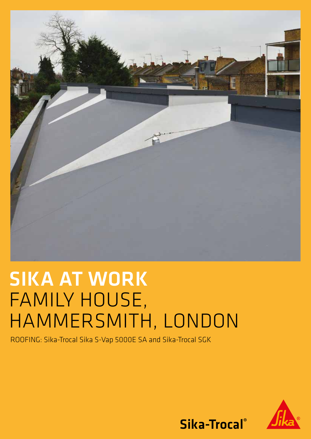

# SIKA AT WORK FAMILY HOUSE, HAMMERSMITH, LONDON

ROOFING: Sika-Trocal Sika S-Vap 5000E SA and Sika-Trocal SGK



Sika-Trocal®